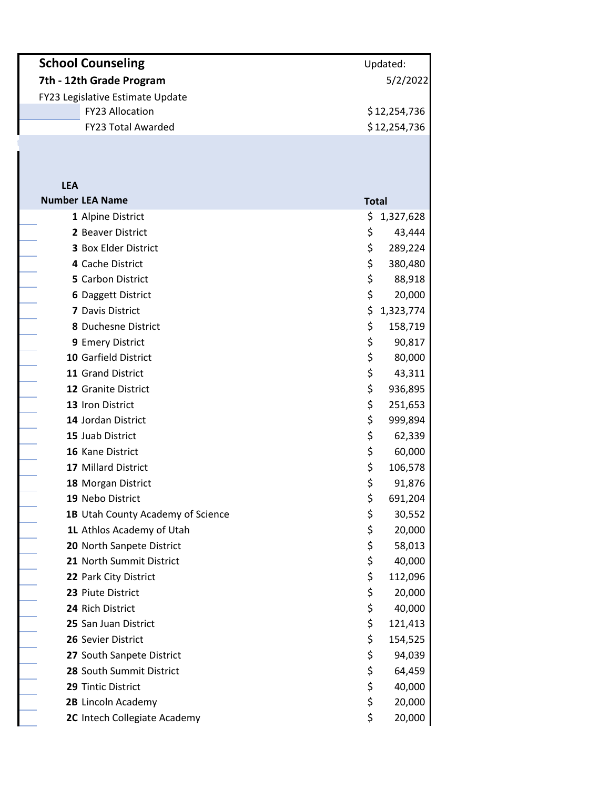| <b>School Counseling</b>         | Updated:     |
|----------------------------------|--------------|
| 7th - 12th Grade Program         | 5/2/2022     |
| FY23 Legislative Estimate Update |              |
| <b>FY23 Allocation</b>           | \$12,254,736 |
| <b>FY23 Total Awarded</b>        | \$12,254,736 |
|                                  |              |

| <b>LEA</b> |                                          |              |           |
|------------|------------------------------------------|--------------|-----------|
|            | <b>Number LEA Name</b>                   | <b>Total</b> |           |
|            | 1 Alpine District                        | \$           | 1,327,628 |
|            | 2 Beaver District                        | \$           | 43,444    |
|            | 3 Box Elder District                     | \$           | 289,224   |
|            | 4 Cache District                         | \$           | 380,480   |
|            | 5 Carbon District                        | \$           | 88,918    |
|            | 6 Daggett District                       | \$           | 20,000    |
|            | 7 Davis District                         | \$           | 1,323,774 |
|            | 8 Duchesne District                      | \$           | 158,719   |
|            | 9 Emery District                         | \$           | 90,817    |
|            | 10 Garfield District                     | \$           | 80,000    |
|            | 11 Grand District                        | \$           | 43,311    |
|            | 12 Granite District                      | \$           | 936,895   |
|            | 13 Iron District                         | \$           | 251,653   |
|            | 14 Jordan District                       | \$           | 999,894   |
|            | 15 Juab District                         | \$           | 62,339    |
|            | 16 Kane District                         | \$           | 60,000    |
|            | 17 Millard District                      | \$           | 106,578   |
|            | 18 Morgan District                       | \$           | 91,876    |
|            | 19 Nebo District                         | \$           | 691,204   |
|            | <b>1B</b> Utah County Academy of Science | \$           | 30,552    |
|            | 1L Athlos Academy of Utah                | \$           | 20,000    |
|            | 20 North Sanpete District                | \$           | 58,013    |
|            | 21 North Summit District                 | \$           | 40,000    |
|            | 22 Park City District                    | \$           | 112,096   |
|            | 23 Piute District                        | \$           | 20,000    |
|            | 24 Rich District                         | \$           | 40,000    |
|            | 25 San Juan District                     | \$           | 121,413   |
|            | 26 Sevier District                       | \$           | 154,525   |
|            | 27 South Sanpete District                | \$           | 94,039    |
|            | 28 South Summit District                 | \$           | 64,459    |
|            | 29 Tintic District                       | \$           | 40,000    |
|            | 2B Lincoln Academy                       | \$           | 20,000    |
|            | 2C Intech Collegiate Academy             | \$           | 20,000    |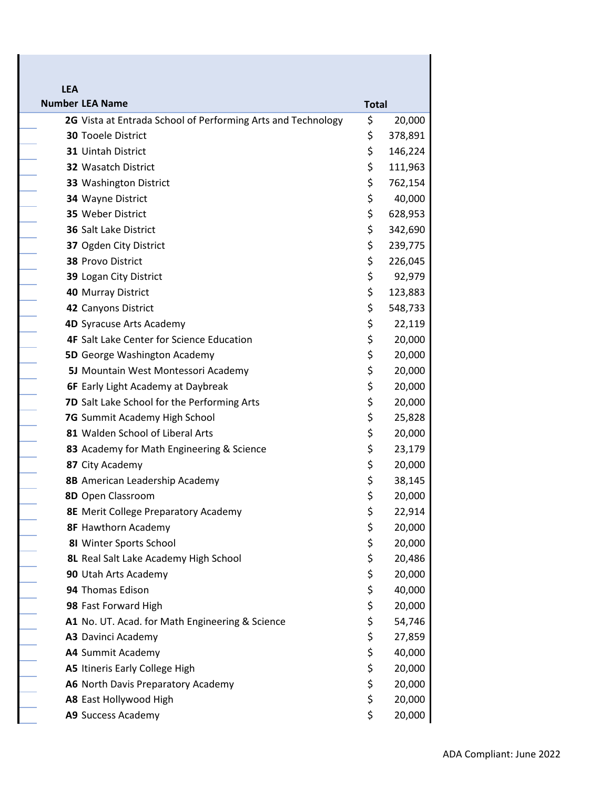| <b>LEA</b> |                                                                                           |                    |                    |
|------------|-------------------------------------------------------------------------------------------|--------------------|--------------------|
|            | <b>Number LEA Name</b>                                                                    | <b>Total</b><br>\$ |                    |
|            | 2G Vista at Entrada School of Performing Arts and Technology<br><b>30 Tooele District</b> | \$                 | 20,000             |
|            | <b>31 Uintah District</b>                                                                 | \$                 | 378,891            |
|            | <b>32 Wasatch District</b>                                                                | \$                 | 146,224<br>111,963 |
|            | 33 Washington District                                                                    | \$                 | 762,154            |
|            | 34 Wayne District                                                                         | \$                 | 40,000             |
|            | 35 Weber District                                                                         | \$                 | 628,953            |
|            | 36 Salt Lake District                                                                     | \$                 | 342,690            |
|            | 37 Ogden City District                                                                    | \$                 | 239,775            |
|            | 38 Provo District                                                                         | \$                 | 226,045            |
|            | 39 Logan City District                                                                    | \$                 | 92,979             |
|            | <b>40 Murray District</b>                                                                 | \$                 | 123,883            |
|            | 42 Canyons District                                                                       | \$                 | 548,733            |
|            | 4D Syracuse Arts Academy                                                                  | \$                 | 22,119             |
|            | <b>4F</b> Salt Lake Center for Science Education                                          | \$                 | 20,000             |
|            | <b>5D</b> George Washington Academy                                                       | \$                 | 20,000             |
|            | 5J Mountain West Montessori Academy                                                       | \$                 | 20,000             |
|            | <b>6F</b> Early Light Academy at Daybreak                                                 | \$                 | 20,000             |
|            | 7D Salt Lake School for the Performing Arts                                               | \$                 | 20,000             |
|            | 7G Summit Academy High School                                                             | \$                 | 25,828             |
|            | 81 Walden School of Liberal Arts                                                          | \$                 | 20,000             |
|            | 83 Academy for Math Engineering & Science                                                 | \$                 | 23,179             |
|            | 87 City Academy                                                                           | \$                 | 20,000             |
|            | 8B American Leadership Academy                                                            | \$                 | 38,145             |
|            | 8D Open Classroom                                                                         | \$                 | 20,000             |
|            | <b>8E</b> Merit College Preparatory Academy                                               | \$                 | 22,914             |
|            | <b>8F Hawthorn Academy</b>                                                                | \$                 | 20,000             |
|            | 81 Winter Sports School                                                                   | \$                 | 20,000             |
|            | 8L Real Salt Lake Academy High School                                                     | \$                 | 20,486             |
|            | 90 Utah Arts Academy                                                                      | \$                 | 20,000             |
|            | 94 Thomas Edison                                                                          | \$                 | 40,000             |
|            | 98 Fast Forward High                                                                      | \$                 | 20,000             |
|            | A1 No. UT. Acad. for Math Engineering & Science                                           | \$                 | 54,746             |
|            | A3 Davinci Academy                                                                        | \$                 | 27,859             |
|            | A4 Summit Academy                                                                         | \$                 | 40,000             |
|            | A5 Itineris Early College High                                                            | \$                 | 20,000             |
|            | A6 North Davis Preparatory Academy                                                        | \$                 | 20,000             |
|            | A8 East Hollywood High                                                                    | \$                 | 20,000             |
|            | A9 Success Academy                                                                        | \$                 | 20,000             |

ī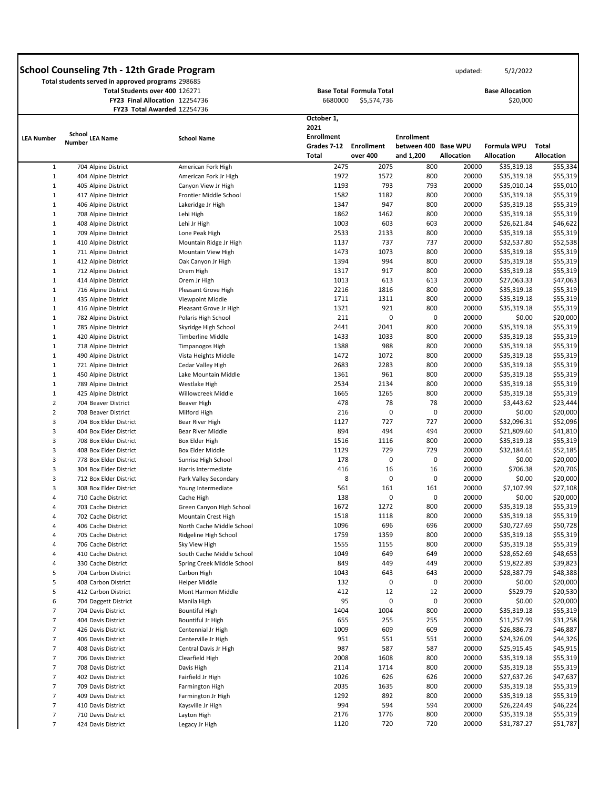|                   | Total students served in approved programs 298685<br>Total Students over 400 126271 | FY23 Final Allocation 12254736<br>FY23 Total Awarded 12254736 | 6680000                                                                | <b>Base Total Formula Total</b><br>\$5,574,736 |                                                        |                   | <b>Base Allocation</b><br>\$20,000      |                                   |
|-------------------|-------------------------------------------------------------------------------------|---------------------------------------------------------------|------------------------------------------------------------------------|------------------------------------------------|--------------------------------------------------------|-------------------|-----------------------------------------|-----------------------------------|
| <b>LEA Number</b> | School<br><b>LEA Name</b><br>Number                                                 | <b>School Name</b>                                            | October 1,<br>2021<br><b>Enrollment</b><br>Grades 7-12<br><b>Total</b> | <b>Enrollment</b><br>over 400                  | <b>Enrollment</b><br>between 400 Base WPU<br>and 1,200 | <b>Allocation</b> | <b>Formula WPU</b><br><b>Allocation</b> | <b>Total</b><br><b>Allocation</b> |
| $\mathbf{1}$      | 704 Alpine District                                                                 | American Fork High                                            | 2475                                                                   | 2075                                           | 800                                                    | 20000             | \$35,319.18                             | \$55,334                          |
| 1                 | 404 Alpine District                                                                 | American Fork Jr High                                         | 1972                                                                   | 1572                                           | 800                                                    | 20000             | \$35,319.18                             | \$55,319                          |
| 1                 | 405 Alpine District                                                                 | Canyon View Jr High                                           | 1193                                                                   | 793                                            | 793                                                    | 20000             | \$35,010.14                             | \$55,010                          |
| 1                 | 417 Alpine District                                                                 | Frontier Middle School                                        | 1582                                                                   | 1182                                           | 800                                                    | 20000             | \$35,319.18                             | \$55,319                          |
| 1                 | 406 Alpine District                                                                 | Lakeridge Jr High                                             | 1347                                                                   | 947                                            | 800                                                    | 20000             | \$35,319.18                             | \$55,319                          |
| $\mathbf{1}$      | 708 Alpine District                                                                 | Lehi High                                                     | 1862                                                                   | 1462                                           | 800                                                    | 20000             | \$35,319.18                             | \$55,319                          |
| 1                 | 408 Alpine District                                                                 | Lehi Jr High                                                  | 1003                                                                   | 603                                            | 603                                                    | 20000             | \$26,621.84                             | \$46,622                          |
| 1                 | 709 Alpine District                                                                 | Lone Peak High                                                | 2533                                                                   | 2133                                           | 800                                                    | 20000             | \$35,319.18                             | \$55,319                          |
| 1                 | 410 Alpine District                                                                 | Mountain Ridge Jr High                                        | 1137                                                                   | 737                                            | 737                                                    | 20000             | \$32,537.80                             | \$52,538                          |
| 1                 | 711 Alpine District                                                                 | Mountain View High                                            | 1473                                                                   | 1073                                           | 800                                                    | 20000             | \$35,319.18                             | \$55,319                          |
| 1                 | 412 Alpine District                                                                 | Oak Canyon Jr High                                            | 1394                                                                   | 994                                            | 800                                                    | 20000             | \$35,319.18                             | \$55,319                          |
| $\mathbf{1}$      | 712 Alpine District                                                                 | Orem High                                                     | 1317                                                                   | 917                                            | 800                                                    | 20000             | \$35,319.18                             | \$55,319                          |
| 1                 | 414 Alpine District                                                                 | Orem Jr High                                                  | 1013                                                                   | 613                                            | 613                                                    | 20000             | \$27,063.33                             | \$47,063                          |
| 1                 | 716 Alpine District                                                                 | Pleasant Grove High                                           | 2216                                                                   | 1816                                           | 800                                                    | 20000             | \$35,319.18                             | \$55,319                          |
| 1                 | 435 Alpine District                                                                 | Viewpoint Middle                                              | 1711                                                                   | 1311                                           | 800                                                    | 20000             | \$35,319.18                             | \$55,319                          |
| 1                 | 416 Alpine District                                                                 | Pleasant Grove Jr High                                        | 1321                                                                   | 921                                            | 800                                                    | 20000             | \$35,319.18                             | \$55,319                          |
| $\mathbf{1}$      | 782 Alpine District                                                                 | Polaris High School                                           | 211                                                                    | 0                                              | 0                                                      | 20000             | \$0.00                                  | \$20,000                          |
| 1                 | 785 Alpine District                                                                 | Skyridge High School                                          | 2441                                                                   | 2041                                           | 800                                                    | 20000             | \$35,319.18                             | \$55,319                          |
| 1                 | 420 Alpine District                                                                 | Timberline Middle                                             | 1433                                                                   | 1033                                           | 800                                                    | 20000             | \$35,319.18                             | \$55,319                          |
| 1                 | 718 Alpine District                                                                 | Timpanogos High                                               | 1388                                                                   | 988                                            | 800                                                    | 20000             | \$35,319.18                             | \$55,319                          |
| 1                 | 490 Alpine District                                                                 | Vista Heights Middle                                          | 1472                                                                   | 1072                                           | 800                                                    | 20000             | \$35,319.18                             | \$55,319                          |
| 1                 | 721 Alpine District                                                                 | Cedar Valley High                                             | 2683                                                                   | 2283                                           | 800                                                    | 20000             | \$35,319.18                             | \$55,319                          |
| 1                 | 450 Alpine District                                                                 | Lake Mountain Middle                                          | 1361                                                                   | 961                                            | 800                                                    | 20000             | \$35,319.18                             | \$55,319                          |
| 1                 | 789 Alpine District                                                                 | Westlake High                                                 | 2534                                                                   | 2134                                           | 800                                                    | 20000             | \$35,319.18                             | \$55,319                          |
| 1                 | 425 Alpine District                                                                 | Willowcreek Middle                                            | 1665                                                                   | 1265                                           | 800                                                    | 20000             | \$35,319.18                             | \$55,319                          |
| $\overline{2}$    | 704 Beaver District                                                                 | Beaver High                                                   | 478                                                                    | 78                                             | 78                                                     | 20000             | \$3,443.62                              | \$23,444                          |
| $\overline{2}$    | 708 Beaver District                                                                 | Milford High                                                  | 216                                                                    | 0                                              | 0                                                      | 20000             | \$0.00                                  | \$20,000                          |
| 3                 | 704 Box Elder District                                                              | Bear River High                                               | 1127                                                                   | 727                                            | 727                                                    | 20000             | \$32,096.31                             | \$52,096                          |
| 3                 | 404 Box Elder District                                                              | Bear River Middle                                             | 894                                                                    | 494                                            | 494                                                    | 20000             | \$21,809.60                             | \$41,810                          |
| 3                 | 708 Box Elder District                                                              | Box Elder High                                                | 1516                                                                   | 1116                                           | 800                                                    | 20000             | \$35,319.18                             | \$55,319                          |
| 3                 | 408 Box Elder District                                                              | Box Elder Middle                                              | 1129                                                                   | 729                                            | 729                                                    | 20000             | \$32,184.61                             | \$52,185                          |
| 3                 | 778 Box Elder District                                                              | Sunrise High School                                           | 178                                                                    | 0                                              | 0                                                      | 20000             | \$0.00                                  | \$20,000                          |
| 3                 | 304 Box Elder District                                                              | Harris Intermediate                                           | 416                                                                    | 16                                             | 16                                                     | 20000             | \$706.38                                | \$20,706                          |
| 3                 | 712 Box Elder District                                                              | Park Valley Secondary                                         | 8                                                                      | 0                                              | 0                                                      | 20000             | \$0.00                                  | \$20,000                          |
| 3                 | 308 Box Elder District                                                              | Young Intermediate                                            | 561                                                                    | 161                                            | 161                                                    | 20000             | \$7,107.99                              | \$27,108                          |
| 4                 | 710 Cache District                                                                  | Cache High                                                    | 138                                                                    | 0                                              | 0                                                      | 20000             | \$0.00                                  | \$20,000                          |
| 4                 | 703 Cache District                                                                  | Green Canyon High School                                      | 1672                                                                   | 1272                                           | 800                                                    | 20000             | \$35,319.18                             | \$55,319                          |
| 4                 | 702 Cache District                                                                  | Mountain Crest High                                           | 1518                                                                   | 1118                                           | 800                                                    | 20000             | \$35,319.18                             | \$55,319                          |
| 4                 | 406 Cache District                                                                  | North Cache Middle School                                     | 1096                                                                   | 696                                            | 696                                                    | 20000             | \$30,727.69                             | \$50,728                          |
| 4                 | 705 Cache District                                                                  | Ridgeline High School                                         | 1759                                                                   | 1359                                           | 800                                                    | 20000             | \$35,319.18                             | \$55,319                          |
| 4                 | 706 Cache District                                                                  | Sky View High                                                 | 1555                                                                   | 1155                                           | 800                                                    | 20000             | \$35,319.18                             | \$55,319                          |
| 4                 | 410 Cache District                                                                  | South Cache Middle School                                     | 1049                                                                   | 649                                            | 649                                                    | 20000             | \$28,652.69                             | \$48,653                          |
|                   |                                                                                     |                                                               |                                                                        |                                                | 449                                                    | 20000             |                                         |                                   |
| 4                 |                                                                                     |                                                               |                                                                        |                                                |                                                        |                   |                                         |                                   |
| 5                 | 330 Cache District                                                                  | Spring Creek Middle School                                    | 849                                                                    | 449                                            |                                                        |                   | \$19,822.89                             | \$39,823                          |
| 5                 | 704 Carbon District<br>408 Carbon District                                          | Carbon High<br>Helper Middle                                  | 1043<br>132                                                            | 643<br>0                                       | 643<br>0                                               | 20000<br>20000    | \$28,387.79<br>\$0.00                   | \$48,388<br>\$20,000              |

| 6 | 704 Daggett District | Manila High           | 95   | 0    | 0   | 20000 | \$0.00      | \$20,000 |
|---|----------------------|-----------------------|------|------|-----|-------|-------------|----------|
|   | 704 Davis District   | <b>Bountiful High</b> | 1404 | 1004 | 800 | 20000 | \$35,319.18 | \$55,319 |
|   | 404 Davis District   | Bountiful Jr High     | 655  | 255  | 255 | 20000 | \$11,257.99 | \$31,258 |
|   | 426 Davis District   | Centennial Jr High    | 1009 | 609  | 609 | 20000 | \$26,886.73 | \$46,887 |
|   | 406 Davis District   | Centerville Jr High   | 951  | 551  | 551 | 20000 | \$24,326.09 | \$44,326 |
|   | 408 Davis District   | Central Davis Jr High | 987  | 587  | 587 | 20000 | \$25,915.45 | \$45,915 |
|   | 706 Davis District   | Clearfield High       | 2008 | 1608 | 800 | 20000 | \$35,319.18 | \$55,319 |
|   | 708 Davis District   | Davis High            | 2114 | 1714 | 800 | 20000 | \$35,319.18 | \$55,319 |
|   | 402 Davis District   | Fairfield Jr High     | 1026 | 626  | 626 | 20000 | \$27,637.26 | \$47,637 |
|   | 709 Davis District   | Farmington High       | 2035 | 1635 | 800 | 20000 | \$35,319.18 | \$55,319 |
|   | 409 Davis District   | Farmington Jr High    | 1292 | 892  | 800 | 20000 | \$35,319.18 | \$55,319 |
|   | 410 Davis District   | Kaysville Jr High     | 994  | 594  | 594 | 20000 | \$26,224.49 | \$46,224 |
|   | 710 Davis District   | Layton High           | 2176 | 1776 | 800 | 20000 | \$35,319.18 | \$55,319 |
|   | 424 Davis District   | Legacy Jr High        | 1120 | 720  | 720 | 20000 | \$31,787.27 | \$51,787 |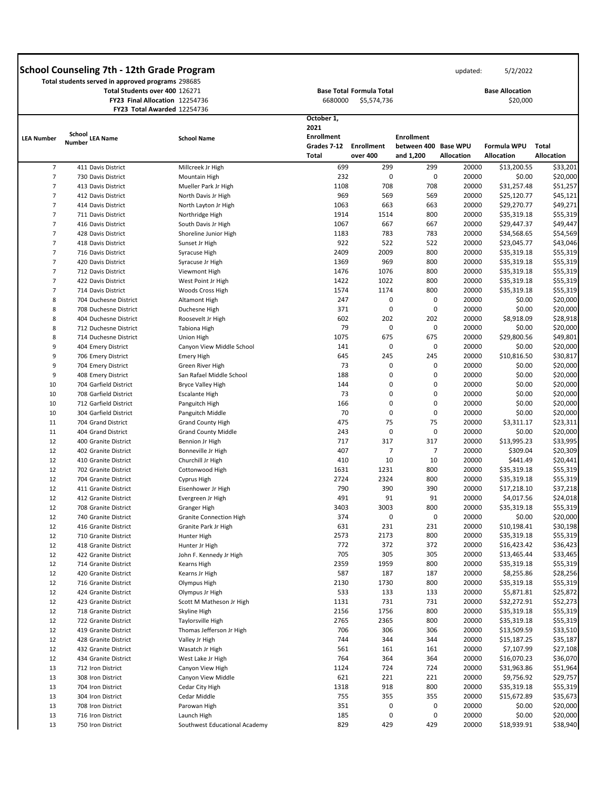**Total students served in approved programs** 298685 **Total Students over 400** 126271 **FY23 Final Allocation** 12254736

**FY23 Total Awarded** 12254736

 **Base Total Formula Total**  6680000 \$5,574,736 updated: 5/2/2022

**Base Allocation**  \$20,000

|                   |                                  | <b>FILD TULAI AWAIUEU 12204/50</b> | October 1,        |                   |                      |                   |                   |                   |
|-------------------|----------------------------------|------------------------------------|-------------------|-------------------|----------------------|-------------------|-------------------|-------------------|
|                   |                                  |                                    | 2021              |                   |                      |                   |                   |                   |
| <b>LEA Number</b> | <b>School</b><br><b>LEA Name</b> | <b>School Name</b>                 | <b>Enrollment</b> |                   | <b>Enrollment</b>    |                   |                   |                   |
|                   | <b>Number</b>                    |                                    | Grades 7-12       | <b>Enrollment</b> | between 400 Base WPU |                   | Formula WPU       | <b>Total</b>      |
|                   |                                  |                                    | <b>Total</b>      | over 400          | and 1,200            | <b>Allocation</b> | <b>Allocation</b> | <b>Allocation</b> |
| $\overline{7}$    | 411 Davis District               | Millcreek Jr High                  | 699               | 299               | 299                  | 20000             | \$13,200.55       | \$33,201          |
| $\overline{7}$    | 730 Davis District               | Mountain High                      | 232               | $\mathbf 0$       | $\mathbf 0$          | 20000             | \$0.00            | \$20,000          |
| 7                 | 413 Davis District               | Mueller Park Jr High               | 1108              | 708               | 708                  | 20000             | \$31,257.48       | \$51,257          |
| $\overline{7}$    | 412 Davis District               | North Davis Jr High                | 969               | 569               | 569                  | 20000             | \$25,120.77       | \$45,121          |
| 7                 | 414 Davis District               | North Layton Jr High               | 1063              | 663               | 663                  | 20000             | \$29,270.77       | \$49,271          |
| $\overline{7}$    | 711 Davis District               | Northridge High                    | 1914              | 1514              | 800                  | 20000             | \$35,319.18       | \$55,319          |
| 7                 | 416 Davis District               | South Davis Jr High                | 1067              | 667               | 667                  | 20000             | \$29,447.37       | \$49,447          |
| 7                 |                                  |                                    |                   |                   |                      |                   |                   |                   |
|                   | 428 Davis District               | Shoreline Junior High              | 1183              | 783               | 783                  | 20000             | \$34,568.65       | \$54,569          |
| 7                 | 418 Davis District               | Sunset Jr High                     | 922               | 522               | 522                  | 20000             | \$23,045.77       | \$43,046          |
| 7                 | 716 Davis District               | Syracuse High                      | 2409              | 2009              | 800                  | 20000             | \$35,319.18       | \$55,319          |
| 7                 | 420 Davis District               | Syracuse Jr High                   | 1369              | 969               | 800                  | 20000             | \$35,319.18       | \$55,319          |
| $\overline{7}$    | 712 Davis District               | Viewmont High                      | 1476              | 1076              | 800                  | 20000             | \$35,319.18       | \$55,319          |
| 7                 | 422 Davis District               | West Point Jr High                 | 1422              | 1022              | 800                  | 20000             | \$35,319.18       | \$55,319          |
| 7                 | 714 Davis District               | Woods Cross High                   | 1574              | 1174              | 800                  | 20000             | \$35,319.18       | \$55,319          |
| 8                 | 704 Duchesne District            | Altamont High                      | 247               | 0                 | 0                    | 20000             | \$0.00            | \$20,000          |
| 8                 | 708 Duchesne District            | Duchesne High                      | 371               | $\mathbf 0$       | 0                    | 20000             | \$0.00            | \$20,000          |
| 8                 | 404 Duchesne District            | Roosevelt Jr High                  | 602               | 202               | 202                  | 20000             | \$8,918.09        | \$28,918          |
| 8                 | 712 Duchesne District            | Tabiona High                       | 79                | 0                 | 0                    | 20000             | \$0.00            | \$20,000          |
| 8                 | 714 Duchesne District            | Union High                         | 1075              | 675               | 675                  | 20000             | \$29,800.56       | \$49,801          |
| 9                 | 404 Emery District               | Canyon View Middle School          | 141               | 0                 | 0                    | 20000             | \$0.00            | \$20,000          |
| 9                 | 706 Emery District               | Emery High                         | 645               | 245               | 245                  | 20000             | \$10,816.50       | \$30,817          |
| 9                 | 704 Emery District               | Green River High                   | 73                | 0                 | 0                    | 20000             | \$0.00            | \$20,000          |
| 9                 | 408 Emery District               | San Rafael Middle School           | 188               | $\mathbf{0}$      | 0                    | 20000             | \$0.00            | \$20,000          |
| 10                | 704 Garfield District            | <b>Bryce Valley High</b>           | 144               | 0                 | 0                    | 20000             | \$0.00            | \$20,000          |
| 10                | 708 Garfield District            | <b>Escalante High</b>              | 73                | 0                 | 0                    | 20000             | \$0.00            | \$20,000          |
| 10                | 712 Garfield District            | Panguitch High                     | 166               | 0                 | 0                    | 20000             | \$0.00            | \$20,000          |
|                   |                                  |                                    |                   |                   |                      |                   |                   |                   |
| 10                | 304 Garfield District            | Panguitch Middle                   | 70                | $\mathbf 0$       | 0                    | 20000             | \$0.00            | \$20,000          |
| 11                | 704 Grand District               | <b>Grand County High</b>           | 475               | 75                | 75                   | 20000             | \$3,311.17        | \$23,311          |
| 11                | 404 Grand District               | <b>Grand County Middle</b>         | 243               | $\mathbf 0$       | 0                    | 20000             | \$0.00            | \$20,000          |
| 12                | 400 Granite District             | Bennion Jr High                    | 717               | 317               | 317                  | 20000             | \$13,995.23       | \$33,995          |
| 12                | 402 Granite District             | Bonneville Jr High                 | 407               | 7                 | 7                    | 20000             | \$309.04          | \$20,309          |
| 12                | 410 Granite District             | Churchill Jr High                  | 410               | 10                | 10                   | 20000             | \$441.49          | \$20,441          |
| 12                | 702 Granite District             | Cottonwood High                    | 1631              | 1231              | 800                  | 20000             | \$35,319.18       | \$55,319          |
| 12                | 704 Granite District             | Cyprus High                        | 2724              | 2324              | 800                  | 20000             | \$35,319.18       | \$55,319          |
| 12                | 411 Granite District             | Eisenhower Jr High                 | 790               | 390               | 390                  | 20000             | \$17,218.10       | \$37,218          |
| 12                | 412 Granite District             | Evergreen Jr High                  | 491               | 91                | 91                   | 20000             | \$4,017.56        | \$24,018          |
| 12                | 708 Granite District             | <b>Granger High</b>                | 3403              | 3003              | 800                  | 20000             | \$35,319.18       | \$55,319          |
| 12                | 740 Granite District             | <b>Granite Connection High</b>     | 374               | $\mathbf 0$       | 0                    | 20000             | \$0.00            | \$20,000          |
| 12                | 416 Granite District             | Granite Park Jr High               | 631               | 231               | 231                  | 20000             | \$10,198.41       | \$30,198          |
| 12                | 710 Granite District             | Hunter High                        | 2573              | 2173              | 800                  | 20000             | \$35,319.18       | \$55,319          |
| 12                | 418 Granite District             | Hunter Jr High                     | 772               | 372               | 372                  | 20000             | \$16,423.42       | \$36,423          |
| 12                | 422 Granite District             | John F. Kennedy Jr High            | 705               | 305               | 305                  | 20000             | \$13,465.44       | \$33,465          |
| 12                | 714 Granite District             | <b>Kearns High</b>                 | 2359              | 1959              | 800                  | 20000             | \$35,319.18       | \$55,319          |
| 12                | 420 Granite District             | Kearns Jr High                     | 587               | 187               | 187                  | 20000             | \$8,255.86        | \$28,256          |
| 12                | 716 Granite District             | Olympus High                       | 2130              | 1730              | 800                  | 20000             | \$35,319.18       | \$55,319          |
| 12                | 424 Granite District             | Olympus Jr High                    | 533               | 133               | 133                  | 20000             | \$5,871.81        | \$25,872          |
| 12                | 423 Granite District             | Scott M Matheson Jr High           | 1131              | 731               | 731                  | 20000             | \$32,272.91       | \$52,273          |
| 12                | 718 Granite District             | Skyline High                       | 2156              | 1756              | 800                  | 20000             | \$35,319.18       | \$55,319          |
| 12                | 722 Granite District             | Taylorsville High                  | 2765              | 2365              | 800                  | 20000             | \$35,319.18       | \$55,319          |
| 12                | 419 Granite District             |                                    | 706               | 306               | 306                  | 20000             | \$13,509.59       | \$33,510          |
|                   |                                  | Thomas Jefferson Jr High           | 744               |                   |                      |                   | \$15,187.25       | \$35,187          |
| 12                | 428 Granite District             | Valley Jr High                     |                   | 344               | 344                  | 20000             |                   |                   |
| 12                | 432 Granite District             | Wasatch Jr High                    | 561               | 161               | 161                  | 20000             | \$7,107.99        | \$27,108          |
| 12                | 434 Granite District             | West Lake Jr High                  | 764               | 364               | 364                  | 20000             | \$16,070.23       | \$36,070          |
| 13                | 712 Iron District                | Canyon View High                   | 1124              | 724               | 724                  | 20000             | \$31,963.86       | \$51,964          |
| 13                | 308 Iron District                | Canyon View Middle                 | 621               | 221               | 221                  | 20000             | \$9,756.92        | \$29,757          |
| 13                | 704 Iron District                | Cedar City High                    | 1318              | 918               | 800                  | 20000             | \$35,319.18       | \$55,319          |
| 13                | 304 Iron District                | Cedar Middle                       | 755               | 355               | 355                  | 20000             | \$15,672.89       | \$35,673          |
| 13                | 708 Iron District                | Parowan High                       | 351               | 0                 | 0                    | 20000             | \$0.00            | \$20,000          |
| 13                | 716 Iron District                | Launch High                        | 185               | $\pmb{0}$         | $\pmb{0}$            | 20000             | \$0.00            | \$20,000          |
| 13                | 750 Iron District                | Southwest Educational Academy      | 829               | 429               | 429                  | 20000             | \$18,939.91       | \$38,940          |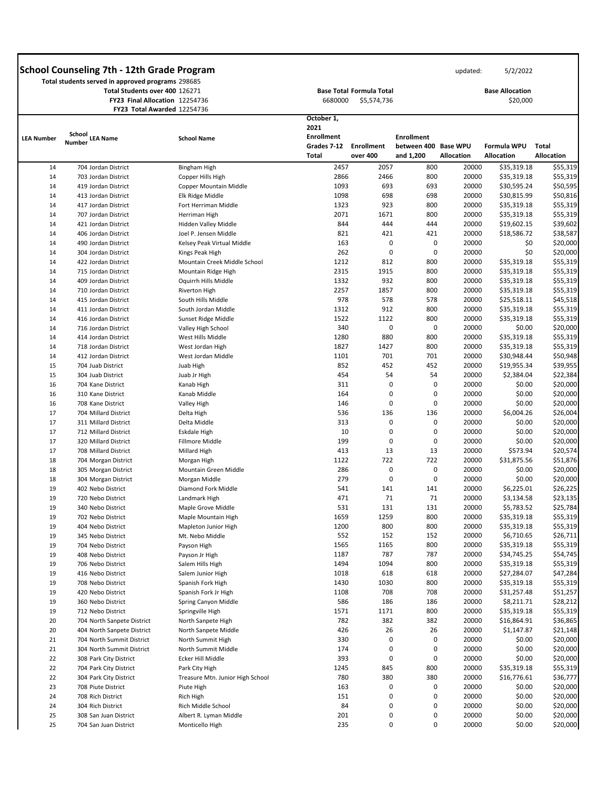|                   | Total students served in approved programs 298685 |                                |                    |                                 |                      |                   |                        |                   |
|-------------------|---------------------------------------------------|--------------------------------|--------------------|---------------------------------|----------------------|-------------------|------------------------|-------------------|
|                   | Total Students over 400 126271                    |                                |                    | <b>Base Total Formula Total</b> |                      |                   | <b>Base Allocation</b> |                   |
|                   |                                                   | FY23 Final Allocation 12254736 | 6680000            | \$5,574,736                     |                      |                   | \$20,000               |                   |
|                   |                                                   | FY23 Total Awarded 12254736    |                    |                                 |                      |                   |                        |                   |
|                   | School                                            |                                | October 1,<br>2021 |                                 |                      |                   |                        |                   |
| <b>LEA Number</b> | <b>LEA Name</b><br><b>Number</b>                  | <b>School Name</b>             | <b>Enrollment</b>  |                                 | <b>Enrollment</b>    |                   |                        |                   |
|                   |                                                   |                                | Grades 7-12        | <b>Enrollment</b>               | between 400 Base WPU |                   | Formula WPU            | <b>Total</b>      |
|                   |                                                   |                                | <b>Total</b>       | over 400                        | and 1,200            | <b>Allocation</b> | <b>Allocation</b>      | <b>Allocation</b> |
| 14                | 704 Jordan District                               | <b>Bingham High</b>            | 2457               | 2057                            | 800                  | 20000             | \$35,319.18            | \$55,319          |
| 14                | 703 Jordan District                               | Copper Hills High              | 2866               | 2466                            | 800                  | 20000             | \$35,319.18            | \$55,319          |
| 14                | 419 Jordan District                               | Copper Mountain Middle         | 1093               | 693                             | 693                  | 20000             | \$30,595.24            | \$50,595          |
| 14                | 413 Jordan District                               | Elk Ridge Middle               | 1098               | 698                             | 698                  | 20000             | \$30,815.99            | \$50,816          |
| 14                | 417 Jordan District                               | Fort Herriman Middle           | 1323               | 923                             | 800                  | 20000             | \$35,319.18            | \$55,319          |
| 14                | 707 Jordan District                               | Herriman High                  | 2071               | 1671                            | 800                  | 20000             | \$35,319.18            | \$55,319          |
| 14                | 421 Jordan District                               | Hidden Valley Middle           | 844                | 444                             | 444                  | 20000             | \$19,602.15            | \$39,602          |
| 14                | 406 Jordan District                               | Joel P. Jensen Middle          | 821                | 421                             | 421                  | 20000             | \$18,586.72            | \$38,587          |
| 14                | 490 Jordan District                               | Kelsey Peak Virtual Middle     | 163                | 0                               | 0                    | 20000             | \$0                    | \$20,000          |
| 14                | 304 Jordan District                               | Kings Peak High                | 262                | 0                               | 0                    | 20000             | \$0                    | \$20,000          |
| 14                | 422 Jordan District                               | Mountain Creek Middle School   | 1212               | 812                             | 800                  | 20000             | \$35,319.18            | \$55,319          |
| 14                | 715 Jordan District                               | Mountain Ridge High            | 2315               | 1915                            | 800                  | 20000             | \$35,319.18            | \$55,319          |
| 14                | 409 Jordan District                               | Oquirrh Hills Middle           | 1332               | 932                             | 800                  | 20000             | \$35,319.18            | \$55,319          |
| 14                | 710 Jordan District                               | <b>Riverton High</b>           | 2257               | 1857                            | 800                  | 20000             | \$35,319.18            | \$55,319          |
| 14                | 415 Jordan District                               | South Hills Middle             | 978                | 578                             | 578                  | 20000             | \$25,518.11            | \$45,518          |
| 14                | 411 Jordan District                               | South Jordan Middle            | 1312               | 912                             | 800                  | 20000             | \$35,319.18            | \$55,319          |
| 14                | 416 Jordan District                               | Sunset Ridge Middle            | 1522               | 1122                            | 800                  | 20000             | \$35,319.18            | \$55,319          |
| 14                | 716 Jordan District                               | Valley High School             | 340                | 0                               | 0                    | 20000             | \$0.00                 | \$20,000          |
| 14                | 414 Jordan District                               | West Hills Middle              | 1280               | 880                             | 800                  | 20000             | \$35,319.18            | \$55,319          |
| 14                | 718 Jordan District                               | West Jordan High               | 1827               | 1427                            | 800                  | 20000             | \$35,319.18            | \$55,319          |
| 14                | 412 Jordan District                               | West Jordan Middle             | 1101               | 701                             | 701                  | 20000             | \$30,948.44            | \$50,948          |
| 15                | 704 Juab District                                 | Juab High                      | 852                | 452                             | 452                  | 20000             | \$19,955.34            | \$39,955          |
| 15                | 304 Juab District                                 | Juab Jr High                   | 454                | 54                              | 54                   | 20000             | \$2,384.04             | \$22,384          |
| 16                | 704 Kane District                                 | Kanab High                     | 311                | 0                               | 0                    | 20000             | \$0.00                 | \$20,000          |
| 16                | 310 Kane District                                 | Kanab Middle                   | 164                | 0                               | 0                    | 20000             | \$0.00                 | \$20,000          |
| 16                | 708 Kane District                                 | Valley High                    | 146                | 0                               | 0                    | 20000             | \$0.00                 | \$20,000          |
| 17                | 704 Millard District                              | Delta High                     | 536                | 136                             | 136                  | 20000             | \$6,004.26             | \$26,004          |
| 17                | 311 Millard District                              | Delta Middle                   | 313                | 0                               | 0                    | 20000             | \$0.00                 | \$20,000          |
| 17                | 712 Millard District                              | Eskdale High                   | 10                 | 0                               | 0                    | 20000             | \$0.00                 | \$20,000          |
| 17                | 320 Millard District                              | Fillmore Middle                | 199                | 0                               | 0                    | 20000             | \$0.00                 | \$20,000          |
| 17                | 708 Millard District                              | Millard High                   | 413                | 13                              | 13                   | 20000             | \$573.94               | \$20,574          |
| 18                | 704 Morgan District                               | Morgan High                    | 1122               | 722                             | 722                  | 20000             | \$31,875.56            | \$51,876          |
| 18                | 305 Morgan District                               | Mountain Green Middle          | 286                | 0                               | 0                    | 20000             | \$0.00                 | \$20,000          |
| 18                | 304 Morgan District                               | Morgan Middle                  | 279                | 0                               | 0                    | 20000             | \$0.00                 | \$20,000          |
| 19                | 402 Nebo District                                 | Diamond Fork Middle            | 541                | 141                             | 141                  | 20000             | \$6,225.01             | \$26,225          |
| 19                | 720 Nebo District                                 | Landmark High                  | 471                | 71                              | 71                   | 20000             | \$3,134.58             | \$23,135          |
| 19                | 340 Nebo District                                 | Maple Grove Middle             | 531                | 131                             | 131                  | 20000             | \$5,783.52             | \$25,784          |
| 19                | 702 Nebo District                                 | Maple Mountain High            | 1659               | 1259                            | 800                  | 20000             | \$35,319.18            | \$55,319          |
| 19                | 404 Nebo District                                 | Mapleton Junior High           | 1200               | 800                             | 800                  | 20000             | \$35,319.18            | \$55,319          |
| 19                | 345 Nebo District                                 | Mt. Nebo Middle                | 552                | 152                             | 152                  | 20000             | \$6,710.65             | \$26,711          |
| 19                | 704 Nebo District                                 | Payson High                    | 1565               | 1165                            | 800                  | 20000             | \$35,319.18            | \$55,319          |
| 19                | 408 Nebo District                                 | Payson Jr High                 | 1187               | 787                             | 787                  | 20000             | \$34,745.25            | \$54,745          |
| 19                | 706 Nebo District                                 | Salem Hills High               | 1494               | 1094                            | 800                  | 20000             | \$35,319.18            | \$55,319          |
| 19                | 416 Nebo District                                 | Salem Junior High              | 1018               | 618                             | 618                  | 20000             | \$27,284.07            | \$47,284          |
| 19                | 708 Nebo District                                 | Spanish Fork High              | 1430               | 1030                            | 800                  | 20000             | \$35,319.18            | \$55,319          |
| 19                | 420 Nebo District                                 | Spanish Fork Jr High           | 1108               | 708                             | 708                  | 20000             | \$31,257.48            | \$51,257          |

| 19 | 360 Nebo District          | Spring Canyon Middle             | 586  | 186  | 186 | 20000 | \$8,211.71  | \$28,212 |
|----|----------------------------|----------------------------------|------|------|-----|-------|-------------|----------|
| 19 | 712 Nebo District          | Springville High                 | 1571 | 1171 | 800 | 20000 | \$35,319.18 | \$55,319 |
| 20 | 704 North Sanpete District | North Sanpete High               | 782  | 382  | 382 | 20000 | \$16,864.91 | \$36,865 |
| 20 | 404 North Sanpete District | North Sanpete Middle             | 426  | 26   | 26  | 20000 | \$1,147.87  | \$21,148 |
| 21 | 704 North Summit District  | North Summit High                | 330  | 0    | 0   | 20000 | \$0.00      | \$20,000 |
| 21 | 304 North Summit District  | North Summit Middle              | 174  | 0    | 0   | 20000 | \$0.00      | \$20,000 |
| 22 | 308 Park City District     | Ecker Hill Middle                | 393  | 0    | 0   | 20000 | \$0.00      | \$20,000 |
| 22 | 704 Park City District     | Park City High                   | 1245 | 845  | 800 | 20000 | \$35,319.18 | \$55,319 |
| 22 | 304 Park City District     | Treasure Mtn. Junior High School | 780  | 380  | 380 | 20000 | \$16,776.61 | \$36,777 |
| 23 | 708 Piute District         | Piute High                       | 163  | 0    | 0   | 20000 | \$0.00      | \$20,000 |
| 24 | 708 Rich District          | Rich High                        | 151  | 0    | 0   | 20000 | \$0.00      | \$20,000 |
| 24 | 304 Rich District          | Rich Middle School               | 84   | 0    | 0   | 20000 | \$0.00      | \$20,000 |
| 25 | 308 San Juan District      | Albert R. Lyman Middle           | 201  | 0    | 0   | 20000 | \$0.00      | \$20,000 |
| 25 | 704 San Juan District      | Monticello High                  | 235  |      |     | 20000 | \$0.00      | \$20,000 |

 $\overline{\phantom{a}}$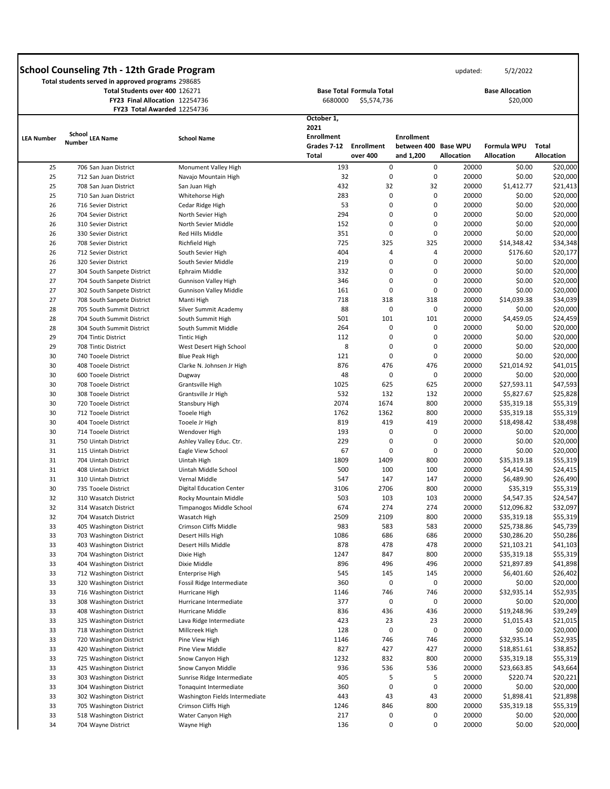**Total students served in approved programs** 298685 **Total Students over 400** 126271 **FY23 Final Allocation** 12254736

**FY23 Total Awarded** 12254736

 **Base Total Formula Total**  6680000 \$5,574,736

| 5/2/2022 |
|----------|
|          |

**Base Allocation** 

\$20,000

|                   | <b>FILD IULAI AWAIUCU 12204/30</b>                 |                                 | October 1,                  |                               |                                   |                   |                                  |                                   |
|-------------------|----------------------------------------------------|---------------------------------|-----------------------------|-------------------------------|-----------------------------------|-------------------|----------------------------------|-----------------------------------|
|                   | School                                             |                                 | 2021                        |                               |                                   |                   |                                  |                                   |
| <b>LEA Number</b> | <b>LEA Name</b><br><b>Number</b>                   | <b>School Name</b>              | <b>Enrollment</b>           |                               | <b>Enrollment</b>                 |                   |                                  |                                   |
|                   |                                                    |                                 | Grades 7-12<br><b>Total</b> | <b>Enrollment</b><br>over 400 | between 400 Base WPU<br>and 1,200 | <b>Allocation</b> | Formula WPU<br><b>Allocation</b> | <b>Total</b><br><b>Allocation</b> |
| 25                | 706 San Juan District                              | Monument Valley High            | 193                         | 0                             | 0                                 | 20000             | \$0.00                           | \$20,000                          |
| 25                | 712 San Juan District                              | Navajo Mountain High            | 32                          | 0                             | 0                                 | 20000             | \$0.00                           | \$20,000                          |
| 25                | 708 San Juan District                              | San Juan High                   | 432                         | 32                            | 32                                | 20000             | \$1,412.77                       | \$21,413                          |
| 25                | 710 San Juan District                              | Whitehorse High                 | 283                         | 0                             | 0                                 | 20000             | \$0.00                           | \$20,000                          |
| 26                | 716 Sevier District                                | Cedar Ridge High                | 53                          | $\mathbf 0$                   | 0                                 | 20000             | \$0.00                           | \$20,000                          |
| 26                | 704 Sevier District                                | North Sevier High               | 294                         | 0                             | 0                                 | 20000             | \$0.00                           | \$20,000                          |
| 26                | 310 Sevier District                                | North Sevier Middle             | 152                         | 0                             | 0                                 | 20000             | \$0.00                           | \$20,000                          |
| 26                | 330 Sevier District                                | Red Hills Middle                | 351                         | 0                             | 0                                 | 20000             | \$0.00                           | \$20,000                          |
| 26                | 708 Sevier District                                | Richfield High                  | 725                         | 325                           | 325                               | 20000             | \$14,348.42                      | \$34,348                          |
| 26                | 712 Sevier District                                | South Sevier High               | 404                         | 4                             | 4                                 | 20000             | \$176.60                         | \$20,177                          |
| 26                | 320 Sevier District                                | South Sevier Middle             | 219                         | 0                             | 0                                 | 20000             | \$0.00                           | \$20,000                          |
| 27                | 304 South Sanpete District                         | Ephraim Middle                  | 332                         | 0                             | 0                                 | 20000             | \$0.00                           | \$20,000                          |
| 27                | 704 South Sanpete District                         | <b>Gunnison Valley High</b>     | 346                         | 0                             | 0                                 | 20000             | \$0.00                           | \$20,000                          |
| 27                | 302 South Sanpete District                         | <b>Gunnison Valley Middle</b>   | 161                         | 0                             | 0                                 | 20000             | \$0.00                           | \$20,000                          |
| 27                | 708 South Sanpete District                         | Manti High                      | 718                         | 318                           | 318                               | 20000             | \$14,039.38                      | \$34,039                          |
| 28                | 705 South Summit District                          | Silver Summit Academy           | 88                          | $\mathbf 0$                   | 0                                 | 20000             | \$0.00                           | \$20,000                          |
| 28                | 704 South Summit District                          | South Summit High               | 501                         | 101                           | 101                               | 20000             | \$4,459.05                       | \$24,459                          |
| 28                | 304 South Summit District                          | South Summit Middle             | 264                         | 0                             | 0                                 | 20000             | \$0.00                           | \$20,000                          |
| 29                | 704 Tintic District                                | <b>Tintic High</b>              | 112                         | 0                             | 0                                 | 20000             | \$0.00                           | \$20,000                          |
| 29                | 708 Tintic District                                | West Desert High School         | 8                           | 0                             | 0                                 | 20000             | \$0.00                           | \$20,000                          |
| 30                | 740 Tooele District                                | <b>Blue Peak High</b>           | 121                         | 0                             | 0                                 | 20000             | \$0.00                           | \$20,000                          |
| 30                | 408 Tooele District                                | Clarke N. Johnsen Jr High       | 876                         | 476                           | 476                               | 20000             | \$21,014.92                      | \$41,015                          |
| 30                | 600 Tooele District                                | Dugway                          | 48                          | $\mathbf 0$                   | $\mathbf 0$                       | 20000             | \$0.00                           | \$20,000                          |
| 30                | 708 Tooele District                                | Grantsville High                | 1025                        | 625                           | 625                               | 20000             | \$27,593.11                      | \$47,593                          |
| 30                | 308 Tooele District                                | Grantsville Jr High             | 532                         | 132                           | 132                               | 20000             | \$5,827.67                       | \$25,828                          |
| 30                | 720 Tooele District                                | Stansbury High                  | 2074                        | 1674                          | 800                               | 20000             | \$35,319.18                      | \$55,319                          |
| 30                | 712 Tooele District                                | Tooele High                     | 1762                        | 1362                          | 800                               | 20000             | \$35,319.18                      | \$55,319                          |
| 30                | 404 Tooele District                                | Tooele Jr High                  | 819                         | 419                           | 419                               | 20000             | \$18,498.42                      | \$38,498                          |
| 30                | 714 Tooele District                                | Wendover High                   | 193                         | 0                             | 0                                 | 20000             | \$0.00                           | \$20,000                          |
| 31                | 750 Uintah District                                | Ashley Valley Educ. Ctr.        | 229                         | 0                             | 0                                 | 20000             | \$0.00                           | \$20,000                          |
| 31                | 115 Uintah District                                | Eagle View School               | 67                          | 0                             | 0                                 | 20000             | \$0.00                           | \$20,000                          |
| 31                | 704 Uintah District                                | Uintah High                     | 1809                        | 1409                          | 800                               | 20000             | \$35,319.18                      | \$55,319                          |
| 31                | 408 Uintah District                                | Uintah Middle School            | 500                         | 100                           | 100                               | 20000             | \$4,414.90                       | \$24,415                          |
| 31                | 310 Uintah District                                | Vernal Middle                   | 547                         | 147                           | 147                               | 20000             | \$6,489.90                       | \$26,490                          |
| 30                | 735 Tooele District                                | <b>Digital Education Center</b> | 3106                        | 2706                          | 800                               | 20000             | \$35,319                         | \$55,319                          |
| 32                | 310 Wasatch District                               | Rocky Mountain Middle           | 503                         | 103                           | 103                               | 20000             | \$4,547.35                       | \$24,547                          |
| 32                | 314 Wasatch District                               | Timpanogos Middle School        | 674                         | 274                           | 274                               | 20000             | \$12,096.82                      | \$32,097                          |
| 32                | 704 Wasatch District                               | Wasatch High                    | 2509                        | 2109                          | 800                               | 20000             | \$35,319.18                      | \$55,319                          |
| 33                | 405 Washington District                            | Crimson Cliffs Middle           | 983                         | 583                           | 583                               | 20000             | \$25,738.86                      | \$45,739                          |
| 33                | 703 Washington District                            | Desert Hills High               | 1086                        | 686                           | 686                               | 20000             | \$30,286.20                      | \$50,286                          |
| 33                | 403 Washington District                            | Desert Hills Middle             | 878                         | 478                           | 478                               | 20000             | \$21,103.21                      | \$41,103                          |
| 33                | 704 Washington District                            | Dixie High                      | 1247<br>896                 | 847<br>496                    | 800<br>496                        | 20000<br>20000    | \$35,319.18<br>\$21,897.89       | \$55,319<br>\$41,898              |
| 33<br>33          | 404 Washington District<br>712 Washington District | Dixie Middle<br>Enterprise High | 545                         | 145                           | 145                               | 20000             | \$6,401.60                       | \$26,402                          |
| 33                | 320 Washington District                            | Fossil Ridge Intermediate       | 360                         | 0                             | 0                                 | 20000             | \$0.00                           | \$20,000                          |
| 33                | 716 Washington District                            | Hurricane High                  | 1146                        | 746                           | 746                               | 20000             | \$32,935.14                      | \$52,935                          |
| 33                | 308 Washington District                            | Hurricane Intermediate          | 377                         | 0                             | 0                                 | 20000             | \$0.00                           | \$20,000                          |
| 33                | 408 Washington District                            | Hurricane Middle                | 836                         | 436                           | 436                               | 20000             | \$19,248.96                      | \$39,249                          |
| 33                | 325 Washington District                            | Lava Ridge Intermediate         | 423                         | 23                            | 23                                | 20000             | \$1,015.43                       | \$21,015                          |
| 33                | 718 Washington District                            | Millcreek High                  | 128                         | 0                             | $\pmb{0}$                         | 20000             | \$0.00                           | \$20,000                          |
| 33                | 720 Washington District                            | Pine View High                  | 1146                        | 746                           | 746                               | 20000             | \$32,935.14                      | \$52,935                          |
| 33                | 420 Washington District                            | Pine View Middle                | 827                         | 427                           | 427                               | 20000             | \$18,851.61                      | \$38,852                          |
| 33                | 725 Washington District                            | Snow Canyon High                | 1232                        | 832                           | 800                               | 20000             | \$35,319.18                      | \$55,319                          |
| 33                | 425 Washington District                            | Snow Canyon Middle              | 936                         | 536                           | 536                               | 20000             | \$23,663.85                      | \$43,664                          |
| 33                | 303 Washington District                            | Sunrise Ridge Intermediate      | 405                         | 5                             | 5                                 | 20000             | \$220.74                         | \$20,221                          |
| 33                | 304 Washington District                            | Tonaquint Intermediate          | 360                         | 0                             | 0                                 | 20000             | \$0.00                           | \$20,000                          |
| 33                | 302 Washington District                            | Washington Fields Intermediate  | 443                         | 43                            | 43                                | 20000             | \$1,898.41                       | \$21,898                          |
| 33                | 705 Washington District                            | Crimson Cliffs High             | 1246                        | 846                           | 800                               | 20000             | \$35,319.18                      | \$55,319                          |
| 33                | 518 Washington District                            | Water Canyon High               | 217                         | 0                             | 0                                 | 20000             | \$0.00                           | \$20,000                          |
| 34                | 704 Wayne District                                 | Wayne High                      | 136                         | 0                             | 0                                 | 20000             | \$0.00                           | \$20,000                          |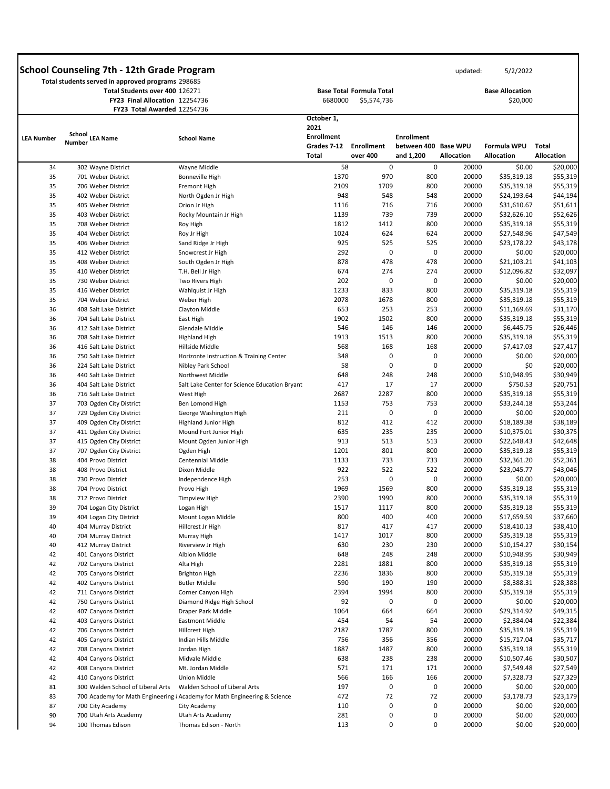**Total students served in approved programs** 298685 **Total Students over 400** 126271 **FY23 Final Allocation** 12254736

42 711 Canyons District Corner Canyon High

|         | <b>Base Total Formula Total</b> |
|---------|---------------------------------|
| 6680000 | \$5,574,736                     |

updated: 5/2/2022

**Base Allocation**  \$20,000

 **between 400 Base WPU FY23 Total Awarded** 12254736 **School LEA Number LEA Name School Name Number October 1, 2021 Enrollment Grades 7-12 Enrollment Total over 400 Enrollment and 1,200 Allocation Formula WPU Allocation Total Allocation**  34 302 Wayne District Wayne Middle 35 701 Weber District Bonneville High 35 706 Weber District Fremont High 35 402 Weber District North Ogden Jr High 35 405 Weber District Orion Jr High 35 403 Weber District Rocky Mountain Jr High 35 708 Weber District Roy High 35 404 Weber District Roy Jr High 35 406 Weber District Sand Ridge Jr High 35 412 Weber District Snowcrest Jr High 35 408 Weber District South Ogden Jr High 35 410 Weber District T.H. Bell Jr High 35 730 Weber District Two Rivers High 35 416 Weber District Wahlquist Jr High 35 704 Weber District Weber High 36 408 Salt Lake District Clayton Middle 36 704 Salt Lake District East High 36 412 Salt Lake District Glendale Middle 36 708 Salt Lake District **Highland High** 36 416 Salt Lake District Hillside Middle 36 750 Salt Lake District Horizonte Instruction & Training Center 36 224 Salt Lake District Nibley Park School 36 440 Salt Lake District Northwest Middle 36 404 Salt Lake District Salt Lake Center for Science Education Bryant 36 716 Salt Lake District West High 37 703 Ogden City District Ben Lomond High 37 729 Ogden City District George Washington High 37 409 Ogden City District Highland Junior High 37 411 Ogden City District Mound Fort Junior High 37 415 Ogden City District Mount Ogden Junior High 37 707 Ogden City District Cambre Ogden High 38 404 Provo District Centennial Middle 38 408 Provo District Dixon Middle 38 730 Provo District The Independence High 38 704 Provo District Provo High 38 712 Provo District Timpview High 39 704 Logan City District Logan High 39 404 Logan City District Mount Logan Middle 40 404 Murray District Hillcrest Jr High 40 704 Murray District Murray High 40 412 Murray District Riverview Jr High 42 401 Canyons District Albion Middle 42 702 Canyons District Alta High 42 705 Canyons District Brighton High 42 402 Canyons District Butler Middle 58 0 1370 970 2109 1709 948 548 1116 716 1139 739 1812 1412 1024 624 925 525 292 0 878 478 674 274 202 0 1233 833 2078 1678 653 253 1902 1502 546 146 1913 1513 568 168 348 0 58 0 648 248 417 17 2687 2287 1153 753 211 0 812 412 635 235 913 513 1201 801 1133 733 922 522 253 0 1969 1569 2390 1990 1517 1117 800 400 817 417 1417 1017 630 230 648 248 2281 1881 2236 1836 590 190 0 800 800 548 716 739 800 624 525 0 478 274 0 800 800 253 800 146 800 168 0 0 248 17 800 753 0 412 235 513 800 733 522 0 800 800 800 400 417 800 230 248 800 800 190 20000 20000 20000 20000 20000 20000 20000 20000 20000 20000 20000 20000 20000 20000 20000 20000 20000 20000 20000 20000 20000 20000 20000 20000 20000 20000 20000 20000 20000 20000 20000 20000 20000 20000 20000 20000 20000 20000 20000 20000 20000 20000 20000 20000 20000 \$0.00 \$35,319.18 \$35,319.18 \$24,193.64 \$31,610.67 \$32,626.10 \$35,319.18 \$27,548.96 \$23,178.22 \$0.00 \$21,103.21 \$12,096.82 \$0.00 \$35,319.18 \$35,319.18 \$11,169.69 \$35,319.18 \$6,445.75 \$35,319.18 \$7,417.03 \$0.00 \$0 \$10,948.95 \$750.53 \$35,319.18 \$33,244.18 \$0.00 \$18,189.38 \$10,375.01 \$22,648.43 \$35,319.18 \$32,361.20 \$23,045.77 \$0.00 \$35,319.18 \$35,319.18 \$35,319.18 \$17,659.59 \$18,410.13 \$35,319.18 \$10,154.27 \$10,948.95 \$35,319.18 \$35,319.18 \$8,388.31 \$20,000 \$55,319 \$55,319 \$44,194 \$51,611 \$52,626 \$55,319 \$47,549 \$43,178 \$20,000 \$41,103 \$32,097 \$20,000 \$55,319 \$55,319 \$31,170 \$55,319 \$26,446 \$55,319 \$27,417 \$20,000 \$20,000 \$30,949 \$20,751 \$55,319 \$53,244 \$20,000 \$38,189 \$30,375 \$42,648 \$55,319 \$52,361 \$43,046 \$20,000 \$55,319 \$55,319 \$55,319 \$37,660 \$38,410 \$55,319 \$30,154 \$30,949 \$55,319 \$55,319 \$28,388

2394 1994

800

| 42 | 750 Canyons District              | Diamond Ridge High School                                                | 92   | 0    | 0   | 20000 | \$0.00      | \$20,000 |
|----|-----------------------------------|--------------------------------------------------------------------------|------|------|-----|-------|-------------|----------|
| 42 | 407 Canyons District              | Draper Park Middle                                                       | 1064 | 664  | 664 | 20000 | \$29,314.92 | \$49,315 |
| 42 | 403 Canyons District              | Eastmont Middle                                                          | 454  | 54   | 54  | 20000 | \$2,384.04  | \$22,384 |
| 42 | 706 Canyons District              | Hillcrest High                                                           | 2187 | 1787 | 800 | 20000 | \$35,319.18 | \$55,319 |
| 42 | 405 Canyons District              | Indian Hills Middle                                                      | 756  | 356  | 356 | 20000 | \$15,717.04 | \$35,717 |
| 42 | 708 Canyons District              | Jordan High                                                              | 1887 | 1487 | 800 | 20000 | \$35,319.18 | \$55,319 |
| 42 | 404 Canyons District              | Midvale Middle                                                           | 638  | 238  | 238 | 20000 | \$10,507.46 | \$30,507 |
| 42 | 408 Canyons District              | Mt. Jordan Middle                                                        | 571  | 171  | 171 | 20000 | \$7,549.48  | \$27,549 |
| 42 | 410 Canyons District              | Union Middle                                                             | 566  | 166  | 166 | 20000 | \$7,328.73  | \$27,329 |
| 81 | 300 Walden School of Liberal Arts | Walden School of Liberal Arts                                            | 197  | 0    | 0   | 20000 | \$0.00      | \$20,000 |
| 83 |                                   | 700 Academy for Math Engineering {Academy for Math Engineering & Science | 472  | 72   | 72  | 20000 | \$3,178.73  | \$23,179 |
| 87 | 700 City Academy                  | City Academy                                                             | 110  | 0    | 0   | 20000 | \$0.00      | \$20,000 |
| 90 | 700 Utah Arts Academy             | Utah Arts Academy                                                        | 281  | 0    | 0   | 20000 | \$0.00      | \$20,000 |
| 94 | 100 Thomas Edison                 | Thomas Edison - North                                                    | 113  |      | 0   | 20000 | \$0.00      | \$20,000 |

20000

\$35,319.18

\$55,319